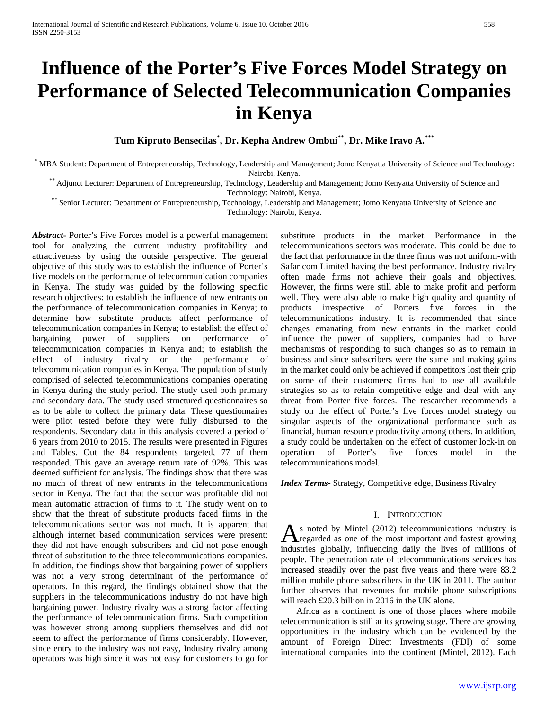# **Influence of the Porter's Five Forces Model Strategy on Performance of Selected Telecommunication Companies in Kenya**

**Tum Kipruto Bensecilas\* , Dr. Kepha Andrew Ombui\*\*, Dr. Mike Iravo A.\*\*\***

\* MBA Student: Department of Entrepreneurship, Technology, Leadership and Management; Jomo Kenyatta University of Science and Technology:

\*\* Adjunct Lecturer: Department of Entrepreneurship, Technology, Leadership and Management; Jomo Kenyatta University of Science and<br>Technology: Nairobi, Kenya.

\*\* Senior Lecturer: Department of Entrepreneurship, Technology, Leadership and Management; Jomo Kenyatta University of Science and Technology: Nairobi, Kenya.

*Abstract***-** Porter's Five Forces model is a powerful management tool for analyzing the current industry profitability and attractiveness by using the outside perspective. The general objective of this study was to establish the influence of Porter's five models on the performance of telecommunication companies in Kenya. The study was guided by the following specific research objectives: to establish the influence of new entrants on the performance of telecommunication companies in Kenya; to determine how substitute products affect performance of telecommunication companies in Kenya; to establish the effect of bargaining power of suppliers on performance of telecommunication companies in Kenya and; to establish the effect of industry rivalry on the performance of telecommunication companies in Kenya. The population of study comprised of selected telecommunications companies operating in Kenya during the study period. The study used both primary and secondary data. The study used structured questionnaires so as to be able to collect the primary data. These questionnaires were pilot tested before they were fully disbursed to the respondents. Secondary data in this analysis covered a period of 6 years from 2010 to 2015. The results were presented in Figures and Tables. Out the 84 respondents targeted, 77 of them responded. This gave an average return rate of 92%. This was deemed sufficient for analysis. The findings show that there was no much of threat of new entrants in the telecommunications sector in Kenya. The fact that the sector was profitable did not mean automatic attraction of firms to it. The study went on to show that the threat of substitute products faced firms in the telecommunications sector was not much. It is apparent that although internet based communication services were present; they did not have enough subscribers and did not pose enough threat of substitution to the three telecommunications companies. In addition, the findings show that bargaining power of suppliers was not a very strong determinant of the performance of operators. In this regard, the findings obtained show that the suppliers in the telecommunications industry do not have high bargaining power. Industry rivalry was a strong factor affecting the performance of telecommunication firms. Such competition was however strong among suppliers themselves and did not seem to affect the performance of firms considerably. However, since entry to the industry was not easy, Industry rivalry among operators was high since it was not easy for customers to go for

substitute products in the market. Performance in the telecommunications sectors was moderate. This could be due to the fact that performance in the three firms was not uniform-with Safaricom Limited having the best performance. Industry rivalry often made firms not achieve their goals and objectives. However, the firms were still able to make profit and perform well. They were also able to make high quality and quantity of products irrespective of Porters five forces in the telecommunications industry. It is recommended that since changes emanating from new entrants in the market could influence the power of suppliers, companies had to have mechanisms of responding to such changes so as to remain in business and since subscribers were the same and making gains in the market could only be achieved if competitors lost their grip on some of their customers; firms had to use all available strategies so as to retain competitive edge and deal with any threat from Porter five forces. The researcher recommends a study on the effect of Porter's five forces model strategy on singular aspects of the organizational performance such as financial, human resource productivity among others. In addition, a study could be undertaken on the effect of customer lock-in on operation of Porter's five forces model in the telecommunications model.

*Index Terms*- Strategy, Competitive edge, Business Rivalry

## I. INTRODUCTION

s noted by Mintel (2012) telecommunications industry is As noted by Mintel (2012) telecommunications industry is<br>regarded as one of the most important and fastest growing industries globally, influencing daily the lives of millions of people. The penetration rate of telecommunications services has increased steadily over the past five years and there were 83.2 million mobile phone subscribers in the UK in 2011. The author further observes that revenues for mobile phone subscriptions will reach £20.3 billion in 2016 in the UK alone.

 Africa as a continent is one of those places where mobile telecommunication is still at its growing stage. There are growing opportunities in the industry which can be evidenced by the amount of Foreign Direct Investments (FDI) of some international companies into the continent (Mintel, 2012). Each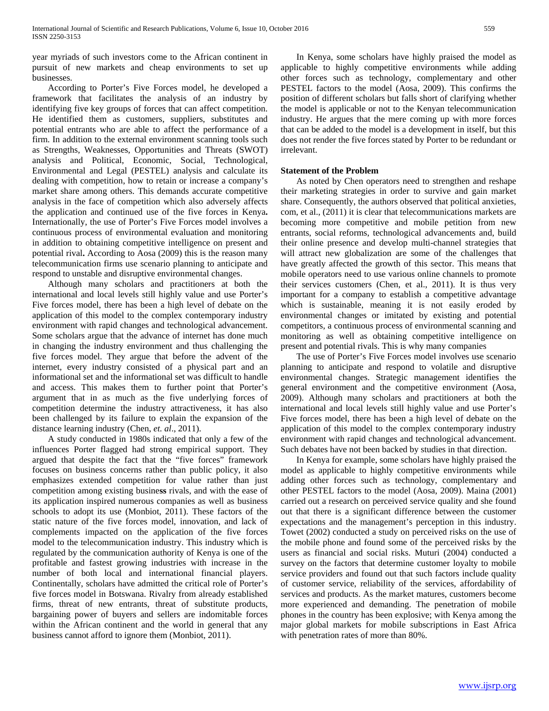year myriads of such investors come to the African continent in pursuit of new markets and cheap environments to set up businesses.

 According to Porter's Five Forces model, he developed a framework that facilitates the analysis of an industry by identifying five key groups of forces that can affect competition. He identified them as customers, suppliers, substitutes and potential entrants who are able to affect the performance of a firm. In addition to the external environment scanning tools such as Strengths, Weaknesses, Opportunities and Threats (SWOT) analysis and Political, Economic, Social, Technological, Environmental and Legal (PESTEL) analysis and calculate its dealing with competition, how to retain or increase a company's market share among others. This demands accurate competitive analysis in the face of competition which also adversely affects the application and continued use of the five forces in Kenya**.**  Internationally, the use of Porter's Five Forces model involves a continuous process of environmental evaluation and monitoring in addition to obtaining competitive intelligence on present and potential rival**.** According to Aosa (2009) this is the reason many telecommunication firms use scenario planning to anticipate and respond to unstable and disruptive environmental changes.

 Although many scholars and practitioners at both the international and local levels still highly value and use Porter's Five forces model, there has been a high level of debate on the application of this model to the complex contemporary industry environment with rapid changes and technological advancement. Some scholars argue that the advance of internet has done much in changing the industry environment and thus challenging the five forces model. They argue that before the advent of the internet, every industry consisted of a physical part and an informational set and the informational set was difficult to handle and access. This makes them to further point that Porter's argument that in as much as the five underlying forces of competition determine the industry attractiveness, it has also been challenged by its failure to explain the expansion of the distance learning industry (Chen, *et. al*., 2011).

 A study conducted in 1980s indicated that only a few of the influences Porter flagged had strong empirical support. They argued that despite the fact that the "five forces" framework focuses on business concerns rather than public policy, it also emphasizes extended competition for value rather than just competition among existing busine**ss** rivals, and with the ease of its application inspired numerous companies as well as business schools to adopt its use (Monbiot, 2011). These factors of the static nature of the five forces model, innovation, and lack of complements impacted on the application of the five forces model to the telecommunication industry. This industry which is regulated by the communication authority of Kenya is one of the profitable and fastest growing industries with increase in the number of both local and international financial players. Continentally, scholars have admitted the critical role of Porter's five forces model in Botswana. Rivalry from already established firms, threat of new entrants, threat of substitute products, bargaining power of buyers and sellers are indomitable forces within the African continent and the world in general that any business cannot afford to ignore them (Monbiot, 2011).

 In Kenya, some scholars have highly praised the model as applicable to highly competitive environments while adding other forces such as technology, complementary and other PESTEL factors to the model (Aosa, 2009). This confirms the position of different scholars but falls short of clarifying whether the model is applicable or not to the Kenyan telecommunication industry. He argues that the mere coming up with more forces that can be added to the model is a development in itself, but this does not render the five forces stated by Porter to be redundant or irrelevant.

## **Statement of the Problem**

 As noted by Chen operators need to strengthen and reshape their marketing strategies in order to survive and gain market share. Consequently, the authors observed that political anxieties, com, et al., (2011) it is clear that telecommunications markets are becoming more competitive and mobile petition from new entrants, social reforms, technological advancements and, build their online presence and develop multi-channel strategies that will attract new globalization are some of the challenges that have greatly affected the growth of this sector. This means that mobile operators need to use various online channels to promote their services customers (Chen, et al., 2011). It is thus very important for a company to establish a competitive advantage which is sustainable, meaning it is not easily eroded by environmental changes or imitated by existing and potential competitors, a continuous process of environmental scanning and monitoring as well as obtaining competitive intelligence on present and potential rivals. This is why many companies

 The use of Porter's Five Forces model involves use scenario planning to anticipate and respond to volatile and disruptive environmental changes. Strategic management identifies the general environment and the competitive environment (Aosa, 2009). Although many scholars and practitioners at both the international and local levels still highly value and use Porter's Five forces model, there has been a high level of debate on the application of this model to the complex contemporary industry environment with rapid changes and technological advancement. Such debates have not been backed by studies in that direction.

 In Kenya for example, some scholars have highly praised the model as applicable to highly competitive environments while adding other forces such as technology, complementary and other PESTEL factors to the model (Aosa, 2009). Maina (2001) carried out a research on perceived service quality and she found out that there is a significant difference between the customer expectations and the management's perception in this industry. Towet (2002) conducted a study on perceived risks on the use of the mobile phone and found some of the perceived risks by the users as financial and social risks. Muturi (2004) conducted a survey on the factors that determine customer loyalty to mobile service providers and found out that such factors include quality of customer service, reliability of the services, affordability of services and products. As the market matures, customers become more experienced and demanding. The penetration of mobile phones in the country has been explosive; with Kenya among the major global markets for mobile subscriptions in East Africa with penetration rates of more than 80%.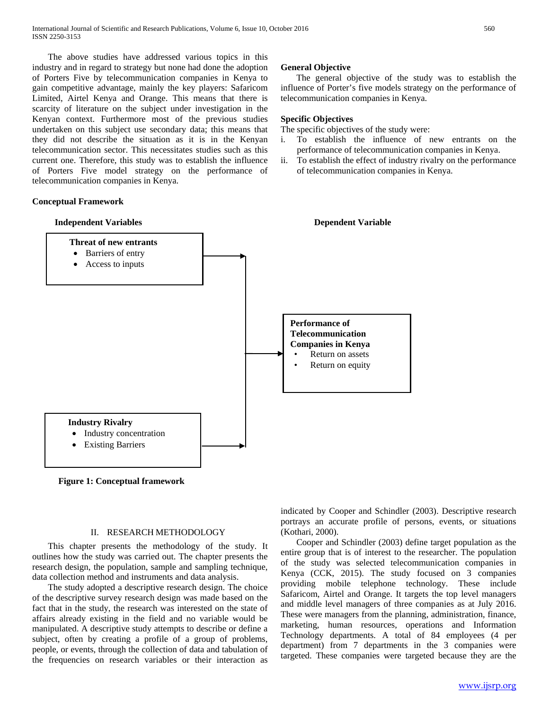The above studies have addressed various topics in this industry and in regard to strategy but none had done the adoption of Porters Five by telecommunication companies in Kenya to gain competitive advantage, mainly the key players: Safaricom Limited, Airtel Kenya and Orange. This means that there is scarcity of literature on the subject under investigation in the Kenyan context. Furthermore most of the previous studies undertaken on this subject use secondary data; this means that they did not describe the situation as it is in the Kenyan telecommunication sector. This necessitates studies such as this current one. Therefore, this study was to establish the influence of Porters Five model strategy on the performance of telecommunication companies in Kenya.

## **Conceptual Framework**

# **Independent Variables Dependent Variable Performance of Telecommunication Companies in Kenya**  Return on assets Return on equity **Industry Rivalry**  • Industry concentration **Existing Barriers Threat of new entrants** • Barriers of entry • Access to inputs

**Figure 1: Conceptual framework**

## II. RESEARCH METHODOLOGY

 This chapter presents the methodology of the study. It outlines how the study was carried out. The chapter presents the research design, the population, sample and sampling technique, data collection method and instruments and data analysis.

 The study adopted a descriptive research design. The choice of the descriptive survey research design was made based on the fact that in the study, the research was interested on the state of affairs already existing in the field and no variable would be manipulated. A descriptive study attempts to describe or define a subject, often by creating a profile of a group of problems, people, or events, through the collection of data and tabulation of the frequencies on research variables or their interaction as

## **General Objective**

 The general objective of the study was to establish the influence of Porter's five models strategy on the performance of telecommunication companies in Kenya.

## **Specific Objectives**

- The specific objectives of the study were:
- i. To establish the influence of new entrants on the performance of telecommunication companies in Kenya.
- ii. To establish the effect of industry rivalry on the performance of telecommunication companies in Kenya.

indicated by Cooper and Schindler (2003). Descriptive research portrays an accurate profile of persons, events, or situations (Kothari, 2000).

 Cooper and Schindler (2003) define target population as the entire group that is of interest to the researcher. The population of the study was selected telecommunication companies in Kenya (CCK, 2015). The study focused on 3 companies providing mobile telephone technology. These include Safaricom, Airtel and Orange. It targets the top level managers and middle level managers of three companies as at July 2016. These were managers from the planning, administration, finance, marketing, human resources, operations and Information Technology departments. A total of 84 employees (4 per department) from 7 departments in the 3 companies were targeted. These companies were targeted because they are the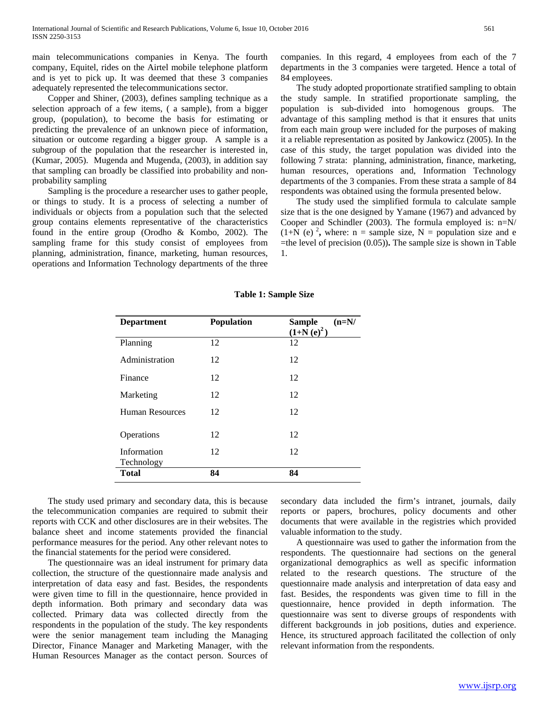main telecommunications companies in Kenya. The fourth company, Equitel, rides on the Airtel mobile telephone platform and is yet to pick up. It was deemed that these 3 companies adequately represented the telecommunications sector.

 Copper and Shiner, (2003), defines sampling technique as a selection approach of a few items, ( a sample), from a bigger group, (population), to become the basis for estimating or predicting the prevalence of an unknown piece of information, situation or outcome regarding a bigger group. A sample is a subgroup of the population that the researcher is interested in, (Kumar, 2005). Mugenda and Mugenda, (2003), in addition say that sampling can broadly be classified into probability and nonprobability sampling

 Sampling is the procedure a researcher uses to gather people, or things to study. It is a process of selecting a number of individuals or objects from a population such that the selected group contains elements representative of the characteristics found in the entire group (Orodho & Kombo, 2002). The sampling frame for this study consist of employees from planning, administration, finance, marketing, human resources, operations and Information Technology departments of the three companies. In this regard, 4 employees from each of the 7 departments in the 3 companies were targeted. Hence a total of 84 employees.

 The study adopted proportionate stratified sampling to obtain the study sample. In stratified proportionate sampling, the population is sub-divided into homogenous groups. The advantage of this sampling method is that it ensures that units from each main group were included for the purposes of making it a reliable representation as posited by Jankowicz (2005). In the case of this study, the target population was divided into the following 7 strata: planning, administration, finance, marketing, human resources, operations and, Information Technology departments of the 3 companies. From these strata a sample of 84 respondents was obtained using the formula presented below.

 The study used the simplified formula to calculate sample size that is the one designed by Yamane (1967) and advanced by Cooper and Schindler (2003). The formula employed is: n=N/  $(1+N$  (e)<sup>2</sup>, where: n = sample size, N = population size and e =the level of precision (0.05))**.** The sample size is shown in Table 1.

| <b>Department</b>         | <b>Population</b> | $(n=N/$<br><b>Sample</b><br>$(1+N(e)^2)$ |  |  |  |  |  |
|---------------------------|-------------------|------------------------------------------|--|--|--|--|--|
| Planning                  | 12                | 12                                       |  |  |  |  |  |
| Administration            | 12                | 12                                       |  |  |  |  |  |
| Finance                   | 12                | 12                                       |  |  |  |  |  |
| Marketing                 | 12                | 12                                       |  |  |  |  |  |
| <b>Human Resources</b>    | 12                | 12                                       |  |  |  |  |  |
| Operations                | 12                | 12                                       |  |  |  |  |  |
| Information<br>Technology | 12                | 12                                       |  |  |  |  |  |
| <b>Total</b>              | 84                | 84                                       |  |  |  |  |  |

## **Table 1: Sample Size**

 The study used primary and secondary data, this is because the telecommunication companies are required to submit their reports with CCK and other disclosures are in their websites. The balance sheet and income statements provided the financial performance measures for the period. Any other relevant notes to the financial statements for the period were considered.

 The questionnaire was an ideal instrument for primary data collection, the structure of the questionnaire made analysis and interpretation of data easy and fast. Besides, the respondents were given time to fill in the questionnaire, hence provided in depth information. Both primary and secondary data was collected. Primary data was collected directly from the respondents in the population of the study. The key respondents were the senior management team including the Managing Director, Finance Manager and Marketing Manager, with the Human Resources Manager as the contact person. Sources of secondary data included the firm's intranet, journals, daily reports or papers, brochures, policy documents and other documents that were available in the registries which provided valuable information to the study.

 A questionnaire was used to gather the information from the respondents. The questionnaire had sections on the general organizational demographics as well as specific information related to the research questions. The structure of the questionnaire made analysis and interpretation of data easy and fast. Besides, the respondents was given time to fill in the questionnaire, hence provided in depth information. The questionnaire was sent to diverse groups of respondents with different backgrounds in job positions, duties and experience. Hence, its structured approach facilitated the collection of only relevant information from the respondents.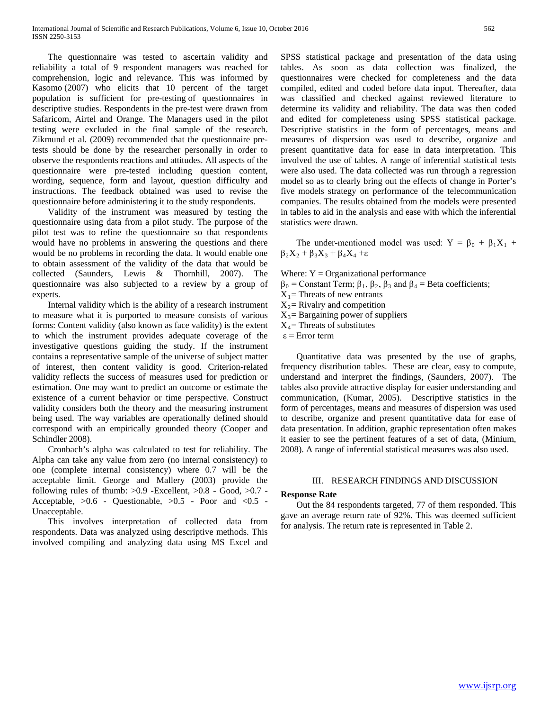The questionnaire was tested to ascertain validity and reliability a total of 9 respondent managers was reached for comprehension, logic and relevance. This was informed by Kasomo (2007) who elicits that 10 percent of the target population is sufficient for pre-testing of questionnaires in descriptive studies. Respondents in the pre-test were drawn from Safaricom, Airtel and Orange. The Managers used in the pilot testing were excluded in the final sample of the research. Zikmund et al. (2009) recommended that the questionnaire pretests should be done by the researcher personally in order to observe the respondents reactions and attitudes. All aspects of the questionnaire were pre-tested including question content, wording, sequence, form and layout, question difficulty and instructions. The feedback obtained was used to revise the questionnaire before administering it to the study respondents.

 Validity of the instrument was measured by testing the questionnaire using data from a pilot study. The purpose of the pilot test was to refine the questionnaire so that respondents would have no problems in answering the questions and there would be no problems in recording the data. It would enable one to obtain assessment of the validity of the data that would be collected (Saunders, Lewis & Thornhill, 2007). The questionnaire was also subjected to a review by a group of experts.

 Internal validity which is the ability of a research instrument to measure what it is purported to measure consists of various forms: Content validity (also known as face validity) is the extent to which the instrument provides adequate coverage of the investigative questions guiding the study. If the instrument contains a representative sample of the universe of subject matter of interest, then content validity is good. Criterion-related validity reflects the success of measures used for prediction or estimation. One may want to predict an outcome or estimate the existence of a current behavior or time perspective. Construct validity considers both the theory and the measuring instrument being used. The way variables are operationally defined should correspond with an empirically grounded theory (Cooper and Schindler 2008).

 Cronbach's alpha was calculated to test for reliability. The Alpha can take any value from zero (no internal consistency) to one (complete internal consistency) where 0.7 will be the acceptable limit. George and Mallery (2003) provide the following rules of thumb:  $>0.9$  -Excellent,  $>0.8$  - Good,  $>0.7$  -Acceptable,  $>0.6$  - Questionable,  $>0.5$  - Poor and <0.5 -Unacceptable.

 This involves interpretation of collected data from respondents. Data was analyzed using descriptive methods. This involved compiling and analyzing data using MS Excel and

SPSS statistical package and presentation of the data using tables. As soon as data collection was finalized, the questionnaires were checked for completeness and the data compiled, edited and coded before data input. Thereafter, data was classified and checked against reviewed literature to determine its validity and reliability. The data was then coded and edited for completeness using SPSS statistical package. Descriptive statistics in the form of percentages, means and measures of dispersion was used to describe, organize and present quantitative data for ease in data interpretation. This involved the use of tables. A range of inferential statistical tests were also used. The data collected was run through a regression model so as to clearly bring out the effects of change in Porter's five models strategy on performance of the telecommunication companies. The results obtained from the models were presented in tables to aid in the analysis and ease with which the inferential statistics were drawn.

The under-mentioned model was used:  $Y = \beta_0 + \beta_1 X_1 +$  $\beta_2X_2 + \beta_3X_3 + \beta_4X_4 + \varepsilon$ 

- Where:  $Y = Organizational performance$
- $\beta_0$  = Constant Term;  $\beta_1$ ,  $\beta_2$ ,  $\beta_3$  and  $\beta_4$  = Beta coefficients;
- $X_1$ = Threats of new entrants
- $X_2$ = Rivalry and competition
- $X_3$ = Bargaining power of suppliers
- $X_4$ = Threats of substitutes

ε = Error term

 Quantitative data was presented by the use of graphs, frequency distribution tables. These are clear, easy to compute, understand and interpret the findings, (Saunders, 2007). The tables also provide attractive display for easier understanding and communication, (Kumar, 2005). Descriptive statistics in the form of percentages, means and measures of dispersion was used to describe, organize and present quantitative data for ease of data presentation. In addition, graphic representation often makes it easier to see the pertinent features of a set of data, (Minium, 2008). A range of inferential statistical measures was also used.

## III. RESEARCH FINDINGS AND DISCUSSION

## **Response Rate**

 Out the 84 respondents targeted, 77 of them responded. This gave an average return rate of 92%. This was deemed sufficient for analysis. The return rate is represented in Table 2.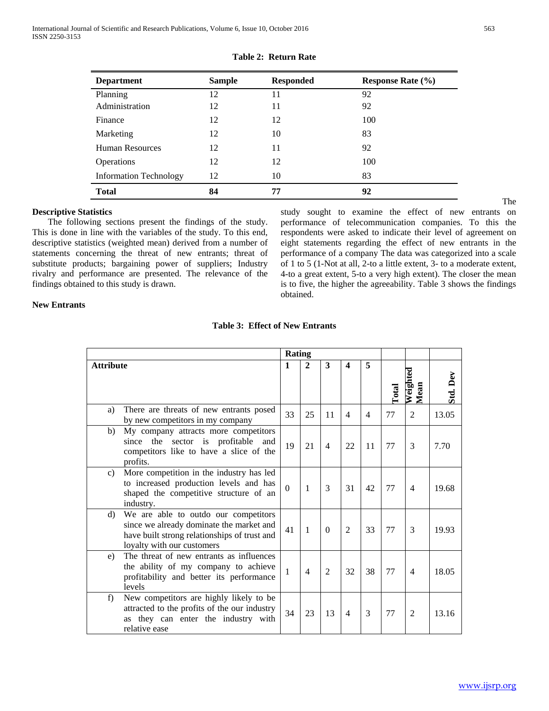| <b>Department</b>             | <b>Sample</b> | <b>Responded</b> | <b>Response Rate (%)</b> |
|-------------------------------|---------------|------------------|--------------------------|
| Planning                      | 12            | 11               | 92                       |
| Administration                | 12            | 11               | 92                       |
| Finance                       | 12            | 12               | 100                      |
| Marketing                     | 12            | 10               | 83                       |
| <b>Human Resources</b>        | 12            | 11               | 92                       |
| <b>Operations</b>             | 12            | 12               | 100                      |
| <b>Information Technology</b> | 12            | 10               | 83                       |
| <b>Total</b>                  | 84            | 77               | 92                       |

## **Table 2: Return Rate**

## **Descriptive Statistics**

 The following sections present the findings of the study. This is done in line with the variables of the study. To this end, descriptive statistics (weighted mean) derived from a number of statements concerning the threat of new entrants; threat of substitute products; bargaining power of suppliers; Industry rivalry and performance are presented. The relevance of the findings obtained to this study is drawn.

study sought to examine the effect of new entrants on performance of telecommunication companies. To this the respondents were asked to indicate their level of agreement on eight statements regarding the effect of new entrants in the performance of a company The data was categorized into a scale of 1 to 5 (1-Not at all, 2-to a little extent, 3- to a moderate extent, 4-to a great extent, 5-to a very high extent). The closer the mean is to five, the higher the agreeability. Table 3 shows the findings obtained.

## **New Entrants**

|                  |                                                                                                                                                                | <b>Rating</b>  |                |                |                         |                |              |                  |          |
|------------------|----------------------------------------------------------------------------------------------------------------------------------------------------------------|----------------|----------------|----------------|-------------------------|----------------|--------------|------------------|----------|
| <b>Attribute</b> |                                                                                                                                                                | 1              | $\overline{2}$ | 3              | $\overline{\mathbf{4}}$ | 5              | <b>Lotal</b> | Weighted<br>Mean | Std. Dev |
| a)               | There are threats of new entrants posed<br>by new competitors in my company                                                                                    | 33             | 25             | 11             | $\overline{4}$          | $\overline{4}$ | 77           | 2                | 13.05    |
| b)               | My company attracts more competitors<br>the<br>sector is profitable<br>and<br>since<br>competitors like to have a slice of the<br>profits.                     | 19             | 21             | 4              | 22                      | 11             | 77           | 3                | 7.70     |
| $\mathbf{c}$ )   | More competition in the industry has led<br>to increased production levels and has<br>shaped the competitive structure of an<br>industry.                      | $\overline{0}$ | 1              | 3              | 31                      | 42             | 77           | $\overline{4}$   | 19.68    |
| d)               | We are able to outdo our competitors<br>since we already dominate the market and<br>have built strong relationships of trust and<br>loyalty with our customers | 41             | $\mathbf{1}$   | $\theta$       | $\overline{2}$          | 33             | 77           | 3                | 19.93    |
| e)               | The threat of new entrants as influences<br>the ability of my company to achieve<br>profitability and better its performance<br>levels                         | 1              | $\overline{4}$ | $\overline{2}$ | 32                      | 38             | 77           | $\overline{4}$   | 18.05    |
| f)               | New competitors are highly likely to be<br>attracted to the profits of the our industry<br>as they can enter the industry with<br>relative ease                | 34             | 23             | 13             | $\overline{4}$          | 3              | 77           | $\overline{2}$   | 13.16    |

## **Table 3: Effect of New Entrants**

The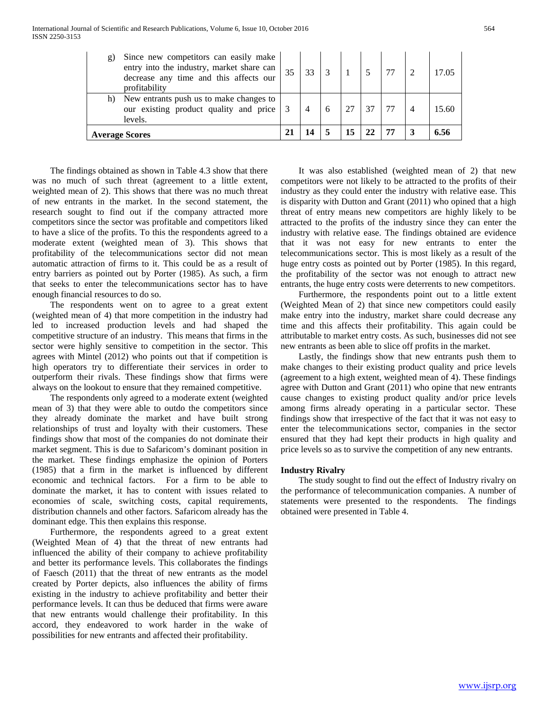| g) | Since new competitors can easily make<br>entry into the industry, market share can<br>decrease any time and this affects our<br>profitability | 35 | 33 |   |    |    |  |      |
|----|-----------------------------------------------------------------------------------------------------------------------------------------------|----|----|---|----|----|--|------|
| h) | New entrants push us to make changes to<br>our existing product quality and price<br>levels.                                                  |    |    | 6 |    |    |  | 5.60 |
|    | <b>Average Scores</b>                                                                                                                         |    |    |   | 15 | 22 |  |      |

 The findings obtained as shown in Table 4.3 show that there was no much of such threat (agreement to a little extent, weighted mean of 2). This shows that there was no much threat of new entrants in the market. In the second statement, the research sought to find out if the company attracted more competitors since the sector was profitable and competitors liked to have a slice of the profits. To this the respondents agreed to a moderate extent (weighted mean of 3). This shows that profitability of the telecommunications sector did not mean automatic attraction of firms to it. This could be as a result of entry barriers as pointed out by Porter (1985). As such, a firm that seeks to enter the telecommunications sector has to have enough financial resources to do so.

 The respondents went on to agree to a great extent (weighted mean of 4) that more competition in the industry had led to increased production levels and had shaped the competitive structure of an industry. This means that firms in the sector were highly sensitive to competition in the sector. This agrees with Mintel (2012) who points out that if competition is high operators try to differentiate their services in order to outperform their rivals. These findings show that firms were always on the lookout to ensure that they remained competitive.

 The respondents only agreed to a moderate extent (weighted mean of 3) that they were able to outdo the competitors since they already dominate the market and have built strong relationships of trust and loyalty with their customers. These findings show that most of the companies do not dominate their market segment. This is due to Safaricom's dominant position in the market. These findings emphasize the opinion of Porters (1985) that a firm in the market is influenced by different economic and technical factors. For a firm to be able to dominate the market, it has to content with issues related to economies of scale, switching costs, capital requirements, distribution channels and other factors. Safaricom already has the dominant edge. This then explains this response.

 Furthermore, the respondents agreed to a great extent (Weighted Mean of 4) that the threat of new entrants had influenced the ability of their company to achieve profitability and better its performance levels. This collaborates the findings of Faesch (2011) that the threat of new entrants as the model created by Porter depicts, also influences the ability of firms existing in the industry to achieve profitability and better their performance levels. It can thus be deduced that firms were aware that new entrants would challenge their profitability. In this accord, they endeavored to work harder in the wake of possibilities for new entrants and affected their profitability.

 It was also established (weighted mean of 2) that new competitors were not likely to be attracted to the profits of their industry as they could enter the industry with relative ease. This is disparity with Dutton and Grant (2011) who opined that a high threat of entry means new competitors are highly likely to be attracted to the profits of the industry since they can enter the industry with relative ease. The findings obtained are evidence that it was not easy for new entrants to enter the telecommunications sector. This is most likely as a result of the huge entry costs as pointed out by Porter (1985). In this regard, the profitability of the sector was not enough to attract new entrants, the huge entry costs were deterrents to new competitors.

 Furthermore, the respondents point out to a little extent (Weighted Mean of 2) that since new competitors could easily make entry into the industry, market share could decrease any time and this affects their profitability. This again could be attributable to market entry costs. As such, businesses did not see new entrants as been able to slice off profits in the market.

 Lastly, the findings show that new entrants push them to make changes to their existing product quality and price levels (agreement to a high extent, weighted mean of 4). These findings agree with Dutton and Grant (2011) who opine that new entrants cause changes to existing product quality and/or price levels among firms already operating in a particular sector. These findings show that irrespective of the fact that it was not easy to enter the telecommunications sector, companies in the sector ensured that they had kept their products in high quality and price levels so as to survive the competition of any new entrants.

## **Industry Rivalry**

 The study sought to find out the effect of Industry rivalry on the performance of telecommunication companies. A number of statements were presented to the respondents. The findings obtained were presented in Table 4.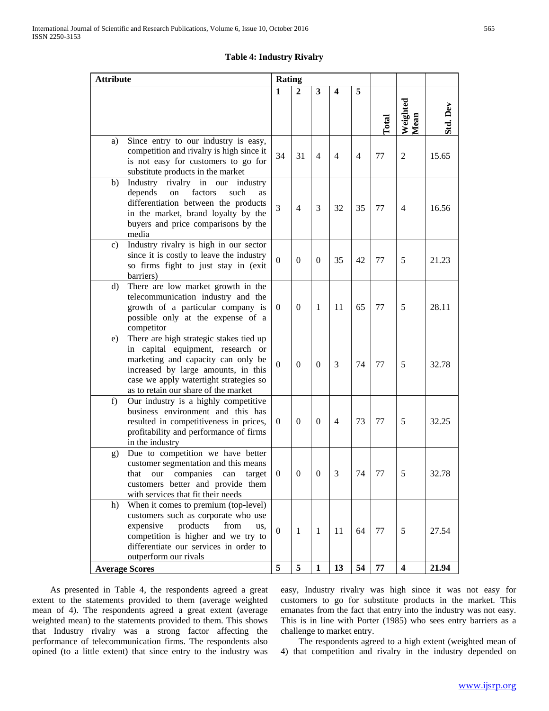## **Table 4: Industry Rivalry**

| <b>Attribute</b> |                                                                                                                                                                                                                                                        | <b>Rating</b>         |                            |                              |                |          |               |                              |                |
|------------------|--------------------------------------------------------------------------------------------------------------------------------------------------------------------------------------------------------------------------------------------------------|-----------------------|----------------------------|------------------------------|----------------|----------|---------------|------------------------------|----------------|
|                  |                                                                                                                                                                                                                                                        | $\mathbf{1}$          | $\overline{2}$             | 3                            | 4              | 5        |               |                              |                |
|                  |                                                                                                                                                                                                                                                        |                       |                            |                              |                |          | $\Gamma$ otal | Weighted<br>Mean             | Std. Dev       |
| a)               | Since entry to our industry is easy,<br>competition and rivalry is high since it<br>is not easy for customers to go for<br>substitute products in the market                                                                                           | 34                    | 31                         | $\overline{4}$               | $\overline{4}$ | 4        | 77            | 2                            | 15.65          |
| b)               | Industry rivalry in our industry<br>factors<br>depends<br>such<br>$\,$ on<br>as<br>differentiation between the products<br>in the market, brand loyalty by the<br>buyers and price comparisons by the<br>media                                         | 3                     | $\overline{4}$             | 3                            | 32             | 35       | 77            | $\overline{4}$               | 16.56          |
| c)               | Industry rivalry is high in our sector<br>since it is costly to leave the industry<br>so firms fight to just stay in (exit<br>barriers)                                                                                                                | $\boldsymbol{0}$      | $\mathbf{0}$               | $\overline{0}$               | 35             | 42       | 77            | 5                            | 21.23          |
| d)               | There are low market growth in the<br>telecommunication industry and the<br>growth of a particular company is<br>possible only at the expense of a<br>competitor                                                                                       | 0                     | $\boldsymbol{0}$           | 1                            | 11             | 65       | 77            | 5                            | 28.11          |
| e)               | There are high strategic stakes tied up<br>in capital equipment, research or<br>marketing and capacity can only be<br>increased by large amounts, in this<br>case we apply watertight strategies so<br>as to retain our share of the market            | $\boldsymbol{0}$      | $\mathbf{0}$               | $\overline{0}$               | 3              | 74       | 77            | 5                            | 32.78          |
| f)               | Our industry is a highly competitive<br>business environment and this has<br>resulted in competitiveness in prices,<br>profitability and performance of firms<br>in the industry                                                                       | 0                     | $\theta$                   | $\theta$                     | $\overline{4}$ | 73       | 77            | 5                            | 32.25          |
| g)               | Due to competition we have better<br>customer segmentation and this means<br>that our companies can target<br>customers better and provide them<br>with services that fit their needs                                                                  | $\mathbf{0}$          | $\mathbf{0}$               | v                            | J.             | /4       | $\frac{1}{2}$ | $\mathcal{D}$                | 32.78          |
| h)               | When it comes to premium (top-level)<br>customers such as corporate who use<br>expensive<br>products<br>from<br>us.<br>competition is higher and we try to<br>differentiate our services in order to<br>outperform our rivals<br><b>Average Scores</b> | $\boldsymbol{0}$<br>5 | $\mathbf{1}$<br>$\sqrt{5}$ | $\mathbf{1}$<br>$\mathbf{1}$ | 11<br>13       | 64<br>54 | 77<br>77      | 5<br>$\overline{\mathbf{4}}$ | 27.54<br>21.94 |
|                  |                                                                                                                                                                                                                                                        |                       |                            |                              |                |          |               |                              |                |

 As presented in Table 4, the respondents agreed a great extent to the statements provided to them (average weighted mean of 4). The respondents agreed a great extent (average weighted mean) to the statements provided to them. This shows that Industry rivalry was a strong factor affecting the performance of telecommunication firms. The respondents also opined (to a little extent) that since entry to the industry was easy, Industry rivalry was high since it was not easy for customers to go for substitute products in the market. This emanates from the fact that entry into the industry was not easy. This is in line with Porter (1985) who sees entry barriers as a challenge to market entry.

 The respondents agreed to a high extent (weighted mean of 4) that competition and rivalry in the industry depended on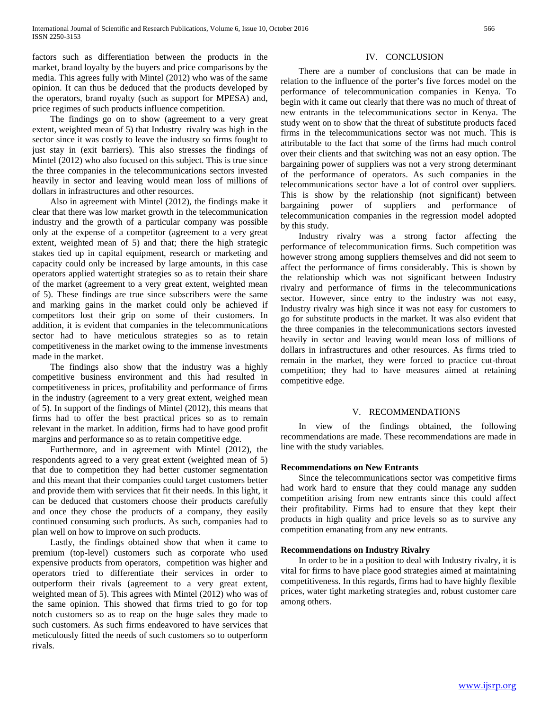factors such as differentiation between the products in the market, brand loyalty by the buyers and price comparisons by the media. This agrees fully with Mintel (2012) who was of the same opinion. It can thus be deduced that the products developed by the operators, brand royalty (such as support for MPESA) and, price regimes of such products influence competition.

 The findings go on to show (agreement to a very great extent, weighted mean of 5) that Industry rivalry was high in the sector since it was costly to leave the industry so firms fought to just stay in (exit barriers). This also stresses the findings of Mintel (2012) who also focused on this subject. This is true since the three companies in the telecommunications sectors invested heavily in sector and leaving would mean loss of millions of dollars in infrastructures and other resources.

 Also in agreement with Mintel (2012), the findings make it clear that there was low market growth in the telecommunication industry and the growth of a particular company was possible only at the expense of a competitor (agreement to a very great extent, weighted mean of 5) and that; there the high strategic stakes tied up in capital equipment, research or marketing and capacity could only be increased by large amounts, in this case operators applied watertight strategies so as to retain their share of the market (agreement to a very great extent, weighted mean of 5). These findings are true since subscribers were the same and marking gains in the market could only be achieved if competitors lost their grip on some of their customers. In addition, it is evident that companies in the telecommunications sector had to have meticulous strategies so as to retain competitiveness in the market owing to the immense investments made in the market.

 The findings also show that the industry was a highly competitive business environment and this had resulted in competitiveness in prices, profitability and performance of firms in the industry (agreement to a very great extent, weighed mean of 5). In support of the findings of Mintel (2012), this means that firms had to offer the best practical prices so as to remain relevant in the market. In addition, firms had to have good profit margins and performance so as to retain competitive edge.

 Furthermore, and in agreement with Mintel (2012), the respondents agreed to a very great extent (weighted mean of 5) that due to competition they had better customer segmentation and this meant that their companies could target customers better and provide them with services that fit their needs. In this light, it can be deduced that customers choose their products carefully and once they chose the products of a company, they easily continued consuming such products. As such, companies had to plan well on how to improve on such products.

 Lastly, the findings obtained show that when it came to premium (top-level) customers such as corporate who used expensive products from operators, competition was higher and operators tried to differentiate their services in order to outperform their rivals (agreement to a very great extent, weighted mean of 5). This agrees with Mintel (2012) who was of the same opinion. This showed that firms tried to go for top notch customers so as to reap on the huge sales they made to such customers. As such firms endeavored to have services that meticulously fitted the needs of such customers so to outperform rivals.

## IV. CONCLUSION

 There are a number of conclusions that can be made in relation to the influence of the porter's five forces model on the performance of telecommunication companies in Kenya. To begin with it came out clearly that there was no much of threat of new entrants in the telecommunications sector in Kenya. The study went on to show that the threat of substitute products faced firms in the telecommunications sector was not much. This is attributable to the fact that some of the firms had much control over their clients and that switching was not an easy option. The bargaining power of suppliers was not a very strong determinant of the performance of operators. As such companies in the telecommunications sector have a lot of control over suppliers. This is show by the relationship (not significant) between bargaining power of suppliers and performance of telecommunication companies in the regression model adopted by this study.

 Industry rivalry was a strong factor affecting the performance of telecommunication firms. Such competition was however strong among suppliers themselves and did not seem to affect the performance of firms considerably. This is shown by the relationship which was not significant between Industry rivalry and performance of firms in the telecommunications sector. However, since entry to the industry was not easy, Industry rivalry was high since it was not easy for customers to go for substitute products in the market. It was also evident that the three companies in the telecommunications sectors invested heavily in sector and leaving would mean loss of millions of dollars in infrastructures and other resources. As firms tried to remain in the market, they were forced to practice cut-throat competition; they had to have measures aimed at retaining competitive edge.

## V. RECOMMENDATIONS

 In view of the findings obtained, the following recommendations are made. These recommendations are made in line with the study variables.

## **Recommendations on New Entrants**

 Since the telecommunications sector was competitive firms had work hard to ensure that they could manage any sudden competition arising from new entrants since this could affect their profitability. Firms had to ensure that they kept their products in high quality and price levels so as to survive any competition emanating from any new entrants.

## **Recommendations on Industry Rivalry**

 In order to be in a position to deal with Industry rivalry, it is vital for firms to have place good strategies aimed at maintaining competitiveness. In this regards, firms had to have highly flexible prices, water tight marketing strategies and, robust customer care among others.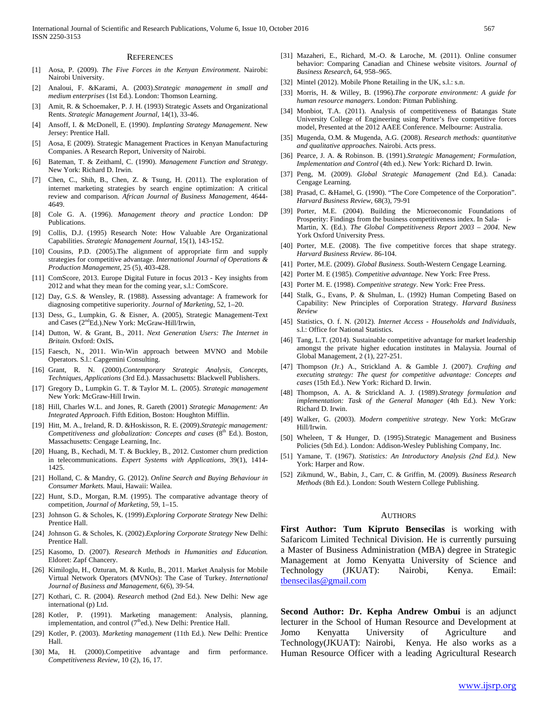#### **REFERENCES**

- [1] Aosa, P. (2009). *The Five Forces in the Kenyan Environment*. Nairobi: Nairobi University.
- [2] Analoui, F. &Karami, A. (2003).*Strategic management in small and medium enterprises* (1st Ed.). London: Thomson Learning.
- [3] Amit, R. & Schoemaker, P. J. H. (1993) Strategic Assets and Organizational Rents. *Strategic Management Journal,* 14(1), 33-46.
- [4] Ansoff, I. & McDonell, E. (1990). *Implanting Strategy Management*. New Jersey: Prentice Hall.
- [5] Aosa, E (2009). Strategic Management Practices in Kenyan Manufacturing Companies. A Research Report, University of Nairobi.
- [6] Bateman, T. & Zeithaml, C. (1990). *Management Function and Strategy*. New York: Richard D. Irwin.
- [7] Chen, C., Shih, B., Chen, Z. & Tsung, H. (2011). The exploration of internet marketing strategies by search engine optimization: A critical review and comparison. *African Journal of Business Management,* 4644- 4649.
- [8] Cole G. A. (1996). *Management theory and practice* London: DP Publications.
- [9] Collis, D.J. (1995) Research Note: How Valuable Are Organizational Capabilities. *Strategic Management Journal*, 15(1), 143-152.
- [10] Cousins, P.D. (2005). The alignment of appropriate firm and supply strategies for competitive advantage. *International Journal of Operations & Production Management*, 25 (5), 403-428.
- [11] ComScore, 2013. Europe Digital Future in focus 2013 Key insights from 2012 and what they mean for the coming year, s.l.: ComScore.
- [12] Day, G.S. & Wensley, R. (1988). Assessing advantage: A framework for diagnosing competitive superiority. *Journal of Marketing*, 52, 1–20.
- [13] Dess, G., Lumpkin, G. & Eisner, A. (2005), Strategic Management-Text and Cases (2<sup>nd</sup>Ed.).New York: McGraw-Hill/Irwin,
- [14] Dutton, W. & Grant, B., 2011. *Next Generation Users: The Internet in Britain.* Oxford: OxIS**.**
- [15] Faesch, N., 2011. Win-Win approach between MVNO and Mobile Operators. S.l.: Capgemini Consulting.
- [16] Grant, R. N. (2000).*Contemporary Strategic Analysis, Concepts, Techniques, Applications* (3rd Ed.). Massachusetts: Blackwell Publishers.
- [17] Gregory D., Lumpkin G. T. & Taylor M. L. (2005). *Strategic management*  New York: McGraw-Hill Irwin.
- [18] Hill, Charles W.L. and Jones, R. Gareth (2001) *Strategic Management: An Integrated Approach*. Fifth Edition, Boston: Houghton Mifflin.
- [19] Hitt, M. A., Ireland, R. D. &Hoskisson, R. E. (2009).*Strategic management: Competitiveness and globalization: Concepts and cases* (8<sup>th</sup> Ed.). Boston, Massachusetts: Cengage Learning, Inc.
- [20] Huang, B., Kechadi, M. T. & Buckley, B., 2012. Customer churn prediction in telecommunications. *Expert Systems with Applications,* 39(1), 1414- 1425.
- [21] Holland, C. & Mandry, G. (2012). *Online Search and Buying Behaviour in Consumer Markets.* Maui, Hawaii: Wailea.
- [22] Hunt, S.D., Morgan, R.M. (1995). The comparative advantage theory of competition, *Journal of Marketing*, 59, 1–15.
- [23] Johnson G. & Scholes, K. (1999).*Exploring Corporate Strategy* New Delhi: Prentice Hall.
- [24] Johnson G. & Scholes, K. (2002).*Exploring Corporate Strategy* New Delhi: Prentice Hall.
- [25] Kasomo, D. (2007). *Research Methods in Humanities and Education.* Eldoret: Zapf Chancery.
- [26] Kimiloglu, H., Ozturan, M. & Kutlu, B., 2011. Market Analysis for Mobile Virtual Network Operators (MVNOs): The Case of Turkey. *International Journal of Business and Management,* 6(6), 39-54.
- [27] Kothari, C. R. (2004). *Research* method (2nd Ed.). New Delhi: New age international (p) Ltd.
- [28] Kotler, P. (1991). Marketing management: Analysis, planning, implementation, and control  $(7<sup>th</sup>ed.)$ . New Delhi: Prentice Hall.
- [29] Kotler, P. (2003). *Marketing management* (11th Ed.). New Delhi: Prentice Hall.
- [30] Ma, H. (2000).Competitive advantage and firm performance. *Competitiveness Review,* 10 (2), 16, 17.
- [31] Mazaheri, E., Richard, M.-O. & Laroche, M. (2011). Online consumer behavior: Comparing Canadian and Chinese website visitors. *Journal of Business Research,* 64, 958–965.
- [32] Mintel (2012). Mobile Phone Retailing in the UK, s.l.: s.n.
- [33] Morris, H. & Willey, B. (1996).*The corporate environment: A guide for human resource managers*. London: Pitman Publishing.
- [34] Monbiot, T.A. (2011). Analysis of competitiveness of Batangas State University College of Engineering using Porter's five competitive forces model, Presented at the 2012 AAEE Conference. Melbourne: Australia.
- [35] Mugenda, O.M. & Mugenda, A.G. (2008). *Research methods: quantitative and qualitative approaches.* Nairobi. Acts press.
- [36] Pearce, J. A. & Robinson. B. (1991).*Strategic Management; Formulation, Implementation and Control* (4th ed.). New York: Richard D. Irwin.
- [37] Peng, M. (2009). *Global Strategic Management* (2nd Ed.). Canada: Cengage Learning.
- [38] Prasad, C. &Hamel, G. (1990). "The Core Competence of the Corporation". *Harvard Business Review*, 68(3), 79-91
- [39] Porter, M.E. (2004). Building the Microeconomic Foundations of Prosperity: Findings from the business competitiveness index. In Sala- i-Martin, X. (Ed.). *The Global Competitiveness Report 2003 – 2004*. New York Oxford University Press.
- [40] Porter, M.E. (2008). The five competitive forces that shape strategy. *Harvard Business Review.* 86-104.
- [41] Porter, M.E. (2009). *Global Business*. South-Western Cengage Learning.
- [42] Porter M. E (1985). *Competitive advantage*. New York: Free Press.
- [43] Porter M. E. (1998). *Competitive strategy*. New York: Free Press.
- [44] Stalk, G., Evans, P. & Shulman, L. (1992) Human Competing Based on Capability: New Principles of Corporation Strategy. *Harvard Business Review*
- [45] Statistics, O. f. N. (2012). *Internet Access - Households and Individuals,* s.l.: Office for National Statistics.
- [46] Tang, L.T. (2014). Sustainable competitive advantage for market leadership amongst the private higher education institutes in Malaysia. Journal of Global Management, 2 (1), 227-251.
- [47] Thompson (Jr.) A., Strickland A. & Gamble J. (2007). *Crafting and executing* s*trategy: The quest for competitive advantage: Concepts and cases* (15th Ed.). New York: Richard D. Irwin.
- [48] Thompson, A. A. & Strickland A. J. (1989).*Strategy formulation and implementation: Task of the General Manager* (4th Ed.). New York: Richard D. Irwin.
- [49] Walker, G. (2003). *Modern competitive strategy*. New York: McGraw Hill/Irwin.
- [50] Wheleen, T & Hunger, D. (1995).Strategic Management and Business Policies (5th Ed.). London: Addison-Wesley Publishing Company, Inc.
- [51] Yamane, T. (1967). *Statistics: An Introductory Analysis (2nd Ed.).* New York: Harper and Row.
- [52] Zikmund, W., Babin, J., Carr, C. & Griffin, M. (2009). *Business Research Methods* (8th Ed.). London: South Western College Publishing.

#### AUTHORS

**First Author: Tum Kipruto Bensecilas** is working with Safaricom Limited Technical Division. He is currently pursuing a Master of Business Administration (MBA) degree in Strategic Management at Jomo Kenyatta University of Science and Technology (JKUAT): Nairobi, Kenya. Email: [tbensecilas@gmail.com](mailto:tbensecilas@gmail.com)

**Second Author: Dr. Kepha Andrew Ombui** is an adjunct lecturer in the School of Human Resource and Development at Jomo Kenyatta University of Agriculture and Technology(JKUAT): Nairobi, Kenya. He also works as a Human Resource Officer with a leading Agricultural Research